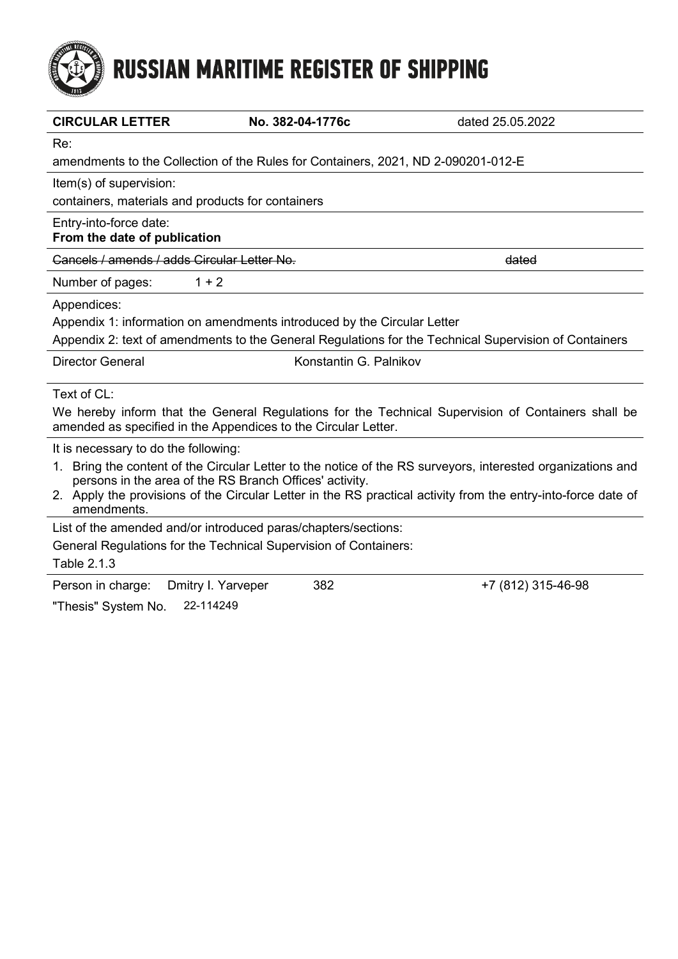# **RUSSIAN MARITIME REGISTER OF SHIPPING**

| <b>CIRCULAR LETTER</b>                                                                                                                                                                                                                                                                  | No. 382-04-1776c       | dated 25.05.2022   |  |  |
|-----------------------------------------------------------------------------------------------------------------------------------------------------------------------------------------------------------------------------------------------------------------------------------------|------------------------|--------------------|--|--|
| Re:                                                                                                                                                                                                                                                                                     |                        |                    |  |  |
| amendments to the Collection of the Rules for Containers, 2021, ND 2-090201-012-E                                                                                                                                                                                                       |                        |                    |  |  |
| Item(s) of supervision:                                                                                                                                                                                                                                                                 |                        |                    |  |  |
| containers, materials and products for containers                                                                                                                                                                                                                                       |                        |                    |  |  |
| Entry-into-force date:<br>From the date of publication                                                                                                                                                                                                                                  |                        |                    |  |  |
| Cancels / amends / adds Circular Letter No.                                                                                                                                                                                                                                             |                        | dated              |  |  |
| $1 + 2$<br>Number of pages:                                                                                                                                                                                                                                                             |                        |                    |  |  |
| Appendices:                                                                                                                                                                                                                                                                             |                        |                    |  |  |
| Appendix 1: information on amendments introduced by the Circular Letter                                                                                                                                                                                                                 |                        |                    |  |  |
| Appendix 2: text of amendments to the General Regulations for the Technical Supervision of Containers                                                                                                                                                                                   |                        |                    |  |  |
| <b>Director General</b>                                                                                                                                                                                                                                                                 | Konstantin G. Palnikov |                    |  |  |
| Text of CL:                                                                                                                                                                                                                                                                             |                        |                    |  |  |
| We hereby inform that the General Regulations for the Technical Supervision of Containers shall be<br>amended as specified in the Appendices to the Circular Letter.                                                                                                                    |                        |                    |  |  |
| It is necessary to do the following:                                                                                                                                                                                                                                                    |                        |                    |  |  |
| 1. Bring the content of the Circular Letter to the notice of the RS surveyors, interested organizations and<br>persons in the area of the RS Branch Offices' activity.<br>2. Apply the provisions of the Circular Letter in the RS practical activity from the entry-into-force date of |                        |                    |  |  |
| amendments.                                                                                                                                                                                                                                                                             |                        |                    |  |  |
| List of the amended and/or introduced paras/chapters/sections:                                                                                                                                                                                                                          |                        |                    |  |  |
| General Regulations for the Technical Supervision of Containers:<br>Table 2.1.3                                                                                                                                                                                                         |                        |                    |  |  |
| Dmitry I. Yarveper<br>Person in charge:                                                                                                                                                                                                                                                 | 382                    | +7 (812) 315-46-98 |  |  |
| 22-114249<br>"Thesis" System No.                                                                                                                                                                                                                                                        |                        |                    |  |  |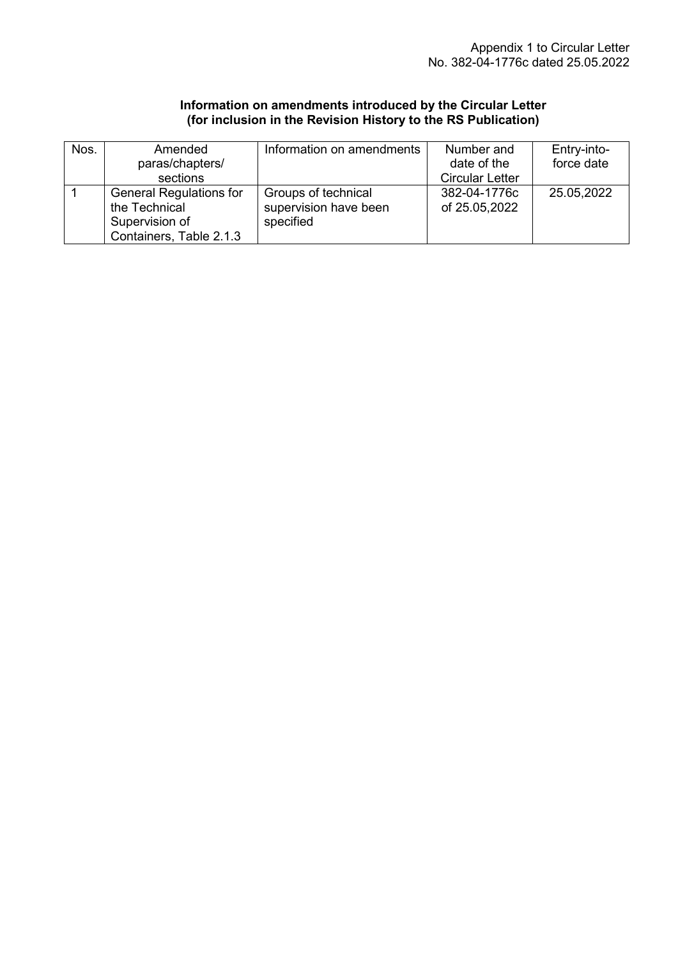#### **Information on amendments introduced by the Circular Letter (for inclusion in the Revision History to the RS Publication)**

| Nos. | Amended                        | Information on amendments | Number and             | Entry-into- |
|------|--------------------------------|---------------------------|------------------------|-------------|
|      | paras/chapters/                |                           | date of the            | force date  |
|      | sections                       |                           | <b>Circular Letter</b> |             |
|      | <b>General Regulations for</b> | Groups of technical       | 382-04-1776c           | 25.05,2022  |
|      | the Technical                  | supervision have been     | of 25.05,2022          |             |
|      | Supervision of                 | specified                 |                        |             |
|      | Containers, Table 2.1.3        |                           |                        |             |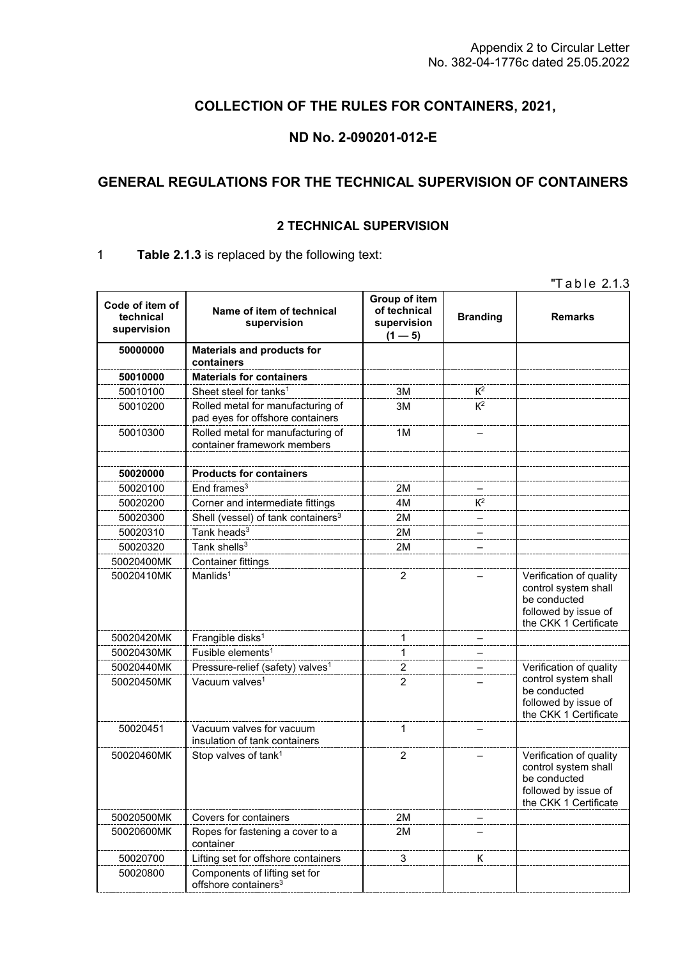## **COLLECTION OF THE RULES FOR CONTAINERS, 2021,**

### **ND No. 2-090201-012-E**

## **GENERAL REGULATIONS FOR THE TECHNICAL SUPERVISION OF CONTAINERS**

#### **2 TECHNICAL SUPERVISION**

#### 1 **Table 2.1.3** is replaced by the following text:

"Table 2.1.3

| Code of item of<br>technical<br>supervision | Name of item of technical<br>supervision                              | Group of item<br>of technical<br>supervision<br>$(1 - 5)$ | <b>Branding</b> | <b>Remarks</b>                                                                                                   |
|---------------------------------------------|-----------------------------------------------------------------------|-----------------------------------------------------------|-----------------|------------------------------------------------------------------------------------------------------------------|
| 50000000                                    | <b>Materials and products for</b><br>containers                       |                                                           |                 |                                                                                                                  |
| 50010000                                    | <b>Materials for containers</b>                                       |                                                           |                 |                                                                                                                  |
| 50010100                                    | Sheet steel for tanks <sup>1</sup>                                    | 3M                                                        | $K^2$           |                                                                                                                  |
| 50010200                                    | Rolled metal for manufacturing of<br>pad eyes for offshore containers | 3M                                                        | $K^2$           |                                                                                                                  |
| 50010300                                    | Rolled metal for manufacturing of<br>container framework members      | 1M                                                        |                 |                                                                                                                  |
| 50020000                                    | <b>Products for containers</b>                                        |                                                           |                 |                                                                                                                  |
| 50020100                                    | End frames $3$                                                        | 2M                                                        |                 |                                                                                                                  |
| 50020200                                    | Corner and intermediate fittings                                      | 4M                                                        | $K^2$           |                                                                                                                  |
| 50020300                                    | Shell (vessel) of tank containers <sup>3</sup>                        | 2M                                                        |                 |                                                                                                                  |
| 50020310                                    | Tank heads <sup>3</sup>                                               | 2M                                                        |                 |                                                                                                                  |
| 50020320                                    | Tank shells $3$                                                       | 2M                                                        |                 |                                                                                                                  |
| 50020400MK                                  | <b>Container fittings</b>                                             |                                                           |                 |                                                                                                                  |
| 50020410MK                                  | Manlids <sup>1</sup>                                                  | $\overline{c}$                                            |                 | Verification of quality<br>control system shall<br>be conducted<br>followed by issue of<br>the CKK 1 Certificate |
| 50020420MK                                  | Frangible disks <sup>1</sup>                                          | 1                                                         |                 |                                                                                                                  |
| 50020430MK                                  | Fusible elements <sup>1</sup>                                         | 1                                                         |                 |                                                                                                                  |
| 50020440MK                                  | Pressure-relief (safety) valves <sup>1</sup>                          | $\overline{c}$                                            |                 | Verification of quality                                                                                          |
| 50020450MK                                  | Vacuum valves <sup>1</sup>                                            | $\overline{2}$                                            |                 | control system shall<br>be conducted<br>followed by issue of<br>the CKK 1 Certificate                            |
| 50020451                                    | Vacuum valves for vacuum<br>insulation of tank containers             | $\mathbf{1}$                                              |                 |                                                                                                                  |
| 50020460MK                                  | Stop valves of tank <sup>1</sup>                                      | $\overline{2}$                                            |                 | Verification of quality<br>control system shall<br>be conducted<br>followed by issue of<br>the CKK 1 Certificate |
| 50020500MK                                  | Covers for containers                                                 | 2M                                                        |                 |                                                                                                                  |
| 50020600MK                                  | Ropes for fastening a cover to a<br>container                         | 2M                                                        |                 |                                                                                                                  |
| 50020700                                    | Lifting set for offshore containers                                   | 3                                                         | К               |                                                                                                                  |
| 50020800                                    | Components of lifting set for<br>offshore containers <sup>3</sup>     |                                                           |                 |                                                                                                                  |